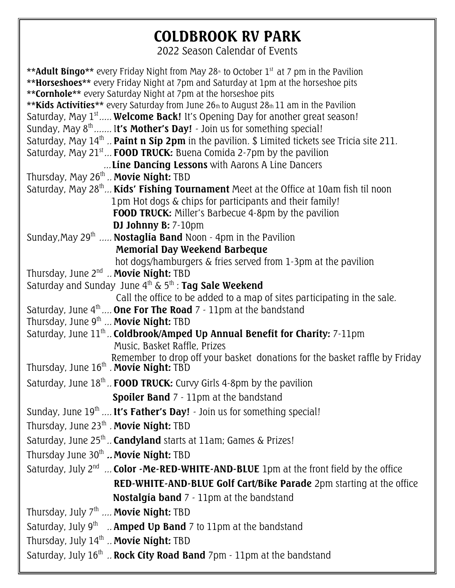## **COLDBROOK RV PARK**

2022 Season Calendar of Events

| <b>**Adult Bingo**</b> every Friday Night from May 28 <sup>th</sup> to October 1 <sup>st</sup> at 7 pm in the Pavilion                                     |
|------------------------------------------------------------------------------------------------------------------------------------------------------------|
| **Horseshoes** every Friday Night at 7pm and Saturday at 1pm at the horseshoe pits                                                                         |
| **Cornhole** every Saturday Night at 7pm at the horseshoe pits<br>** Kids Activities ** every Saturday from June 26th to August 28th 11 am in the Pavilion |
| Saturday, May $1st$ <b>Welcome Back!</b> It's Opening Day for another great season!                                                                        |
| Sunday, May $8^{\text{th}}$ It's Mother's Day! - Join us for something special!                                                                            |
| Saturday, May $14^{\text{th}}$ Paint n Sip 2pm in the pavilion. \$ Limited tickets see Tricia site 211.                                                    |
| Saturday, May $21^{st}$ <b>FOOD TRUCK:</b> Buena Comida 2-7pm by the pavilion                                                                              |
| Line Dancing Lessons with Aarons A Line Dancers                                                                                                            |
| Thursday, May 26 <sup>th</sup> <b>Movie Night:</b> TBD                                                                                                     |
| Saturday, May 28 <sup>th</sup> <b>Kids' Fishing Tournament</b> Meet at the Office at 10am fish til noon                                                    |
| 1pm Hot dogs & chips for participants and their family!                                                                                                    |
| <b>FOOD TRUCK:</b> Miller's Barbecue 4-8pm by the pavilion                                                                                                 |
| DJ Johnny B: 7-10pm                                                                                                                                        |
| Sunday, May 29 <sup>th</sup> <b>Nostaglia Band</b> Noon - 4pm in the Pavilion                                                                              |
| Memorial Day Weekend Barbeque                                                                                                                              |
| hot dogs/hamburgers & fries served from 1-3pm at the pavilion<br>Thursday, June 2 <sup>nd</sup> Movie Night: TBD                                           |
| Saturday and Sunday June $4^{\text{th}}$ & $5^{\text{th}}$ : Tag Sale Weekend                                                                              |
| Call the office to be added to a map of sites participating in the sale.                                                                                   |
| Saturday, June $4^{\text{th}}$ <b>One For The Road</b> 7 - 11pm at the bandstand                                                                           |
| Thursday, June $9^{th}$ <b>Movie Night:</b> TBD                                                                                                            |
| Saturday, June 11 <sup>th</sup> <b>Coldbrook/Amped Up Annual Benefit for Charity:</b> 7-11pm                                                               |
| Music, Basket Raffle, Prizes                                                                                                                               |
| Remember to drop off your basket donations for the basket raffle by Friday<br>Thursday, June $16^{\text{th}}$ . Movie Night: TBD                           |
|                                                                                                                                                            |
| Saturday, June $18^{\text{th}}$ . <b>FOOD TRUCK:</b> Curvy Girls 4-8pm by the pavilion                                                                     |
| Spoiler Band 7 - 11pm at the bandstand                                                                                                                     |
| Sunday, June $19^{th}$ It's Father's Day! - Join us for something special!                                                                                 |
| Thursday, June 23th . Movie Night: TBD                                                                                                                     |
| Saturday, June 25th  Candyland starts at 11am; Games & Prizes!                                                                                             |
| Thursday June 30 <sup>th</sup> Movie Night: TBD                                                                                                            |
| Saturday, July $2^{nd}$ Color -Me-RED-WHITE-AND-BLUE 1pm at the front field by the office                                                                  |
| <b>RED-WHITE-AND-BLUE Golf Cart/Bike Parade</b> 2pm starting at the office                                                                                 |
| Nostalgia band 7 - 11pm at the bandstand                                                                                                                   |
| Thursday, July $7^{\text{th}}$ <b>Movie Night:</b> TBD                                                                                                     |
| Saturday, July $9^{th}$ <b>Amped Up Band</b> 7 to 11pm at the bandstand                                                                                    |
| Thursday, July 14th  Movie Night: TBD                                                                                                                      |
| Saturday, July 16th  Rock City Road Band 7pm - 11pm at the bandstand                                                                                       |